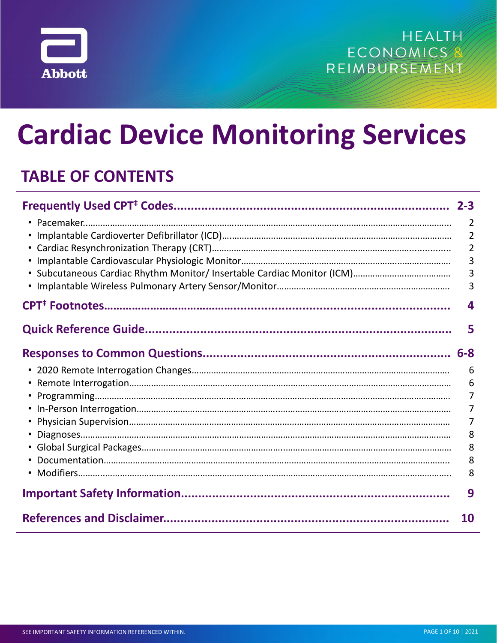

# **Cardiac Device Monitoring Services**

## **TABLE OF CONTENTS**

| $2 - 3$        |
|----------------|
| 2              |
| $\overline{2}$ |
| $\overline{2}$ |
| 3              |
| 3              |
| 3              |
| 4              |
|                |
| 5              |
| $6 - 8$        |
| 6              |
| 6              |
|                |
|                |
| 7              |
| 8              |
| 8              |
| 8              |
| 8              |
| 9              |
| 10             |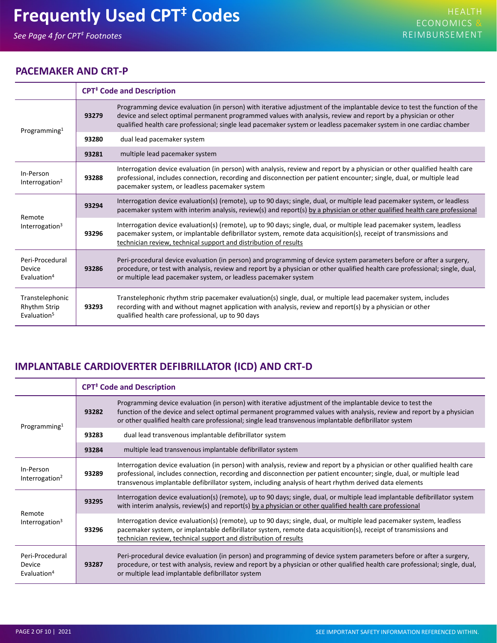## <span id="page-1-0"></span>**Frequently Used CPT‡ Codes**

## **PACEMAKER AND CRT-P**

|                                                             | <b>CPT<sup>‡</sup></b> Code and Description |                                                                                                                                                                                                                                                                                                                                                                     |  |  |  |
|-------------------------------------------------------------|---------------------------------------------|---------------------------------------------------------------------------------------------------------------------------------------------------------------------------------------------------------------------------------------------------------------------------------------------------------------------------------------------------------------------|--|--|--|
| Programming <sup>1</sup>                                    | 93279                                       | Programming device evaluation (in person) with iterative adjustment of the implantable device to test the function of the<br>device and select optimal permanent programmed values with analysis, review and report by a physician or other<br>qualified health care professional; single lead pacemaker system or leadless pacemaker system in one cardiac chamber |  |  |  |
|                                                             | 93280                                       | dual lead pacemaker system                                                                                                                                                                                                                                                                                                                                          |  |  |  |
|                                                             | 93281                                       | multiple lead pacemaker system                                                                                                                                                                                                                                                                                                                                      |  |  |  |
| In-Person<br>Interrogation <sup>2</sup>                     | 93288                                       | Interrogation device evaluation (in person) with analysis, review and report by a physician or other qualified health care<br>professional, includes connection, recording and disconnection per patient encounter; single, dual, or multiple lead<br>pacemaker system, or leadless pacemaker system                                                                |  |  |  |
| Remote<br>Interrogation <sup>3</sup>                        | 93294                                       | Interrogation device evaluation(s) (remote), up to 90 days; single, dual, or multiple lead pacemaker system, or leadless<br>pacemaker system with interim analysis, review(s) and report(s) by a physician or other qualified health care professional                                                                                                              |  |  |  |
|                                                             | 93296                                       | Interrogation device evaluation(s) (remote), up to 90 days; single, dual, or multiple lead pacemaker system, leadless<br>pacemaker system, or implantable defibrillator system, remote data acquisition(s), receipt of transmissions and<br>technician review, technical support and distribution of results                                                        |  |  |  |
| Peri-Procedural<br><b>Device</b><br>Evaluation <sup>4</sup> | 93286                                       | Peri-procedural device evaluation (in person) and programming of device system parameters before or after a surgery,<br>procedure, or test with analysis, review and report by a physician or other qualified health care professional; single, dual,<br>or multiple lead pacemaker system, or leadless pacemaker system                                            |  |  |  |
| Transtelephonic<br>Rhythm Strip<br>Evaluation <sup>5</sup>  | 93293                                       | Transtelephonic rhythm strip pacemaker evaluation(s) single, dual, or multiple lead pacemaker system, includes<br>recording with and without magnet application with analysis, review and report(s) by a physician or other<br>qualified health care professional, up to 90 days                                                                                    |  |  |  |

## **IMPLANTABLE CARDIOVERTER DEFIBRILLATOR (ICD) AND CRT-D**

|                                                      | <b>CPT<sup>‡</sup></b> Code and Description |                                                                                                                                                                                                                                                                                                                                                              |  |  |  |
|------------------------------------------------------|---------------------------------------------|--------------------------------------------------------------------------------------------------------------------------------------------------------------------------------------------------------------------------------------------------------------------------------------------------------------------------------------------------------------|--|--|--|
| Programming <sup>1</sup>                             | 93282                                       | Programming device evaluation (in person) with iterative adjustment of the implantable device to test the<br>function of the device and select optimal permanent programmed values with analysis, review and report by a physician<br>or other qualified health care professional; single lead transvenous implantable defibrillator system                  |  |  |  |
|                                                      | 93283                                       | dual lead transvenous implantable defibrillator system                                                                                                                                                                                                                                                                                                       |  |  |  |
|                                                      | 93284                                       | multiple lead transvenous implantable defibrillator system                                                                                                                                                                                                                                                                                                   |  |  |  |
| In-Person<br>Interrogation <sup>2</sup>              | 93289                                       | Interrogation device evaluation (in person) with analysis, review and report by a physician or other qualified health care<br>professional, includes connection, recording and disconnection per patient encounter; single, dual, or multiple lead<br>transvenous implantable defibrillator system, including analysis of heart rhythm derived data elements |  |  |  |
| Remote<br>Interrogation <sup>3</sup>                 | 93295                                       | Interrogation device evaluation(s) (remote), up to 90 days; single, dual, or multiple lead implantable defibrillator system<br>with interim analysis, review(s) and report(s) by a physician or other qualified health care professional                                                                                                                     |  |  |  |
|                                                      | 93296                                       | Interrogation device evaluation(s) (remote), up to 90 days; single, dual, or multiple lead pacemaker system, leadless<br>pacemaker system, or implantable defibrillator system, remote data acquisition(s), receipt of transmissions and<br>technician review, technical support and distribution of results                                                 |  |  |  |
| Peri-Procedural<br>Device<br>Evaluation <sup>4</sup> | 93287                                       | Peri-procedural device evaluation (in person) and programming of device system parameters before or after a surgery,<br>procedure, or test with analysis, review and report by a physician or other qualified health care professional; single, dual,<br>or multiple lead implantable defibrillator system                                                   |  |  |  |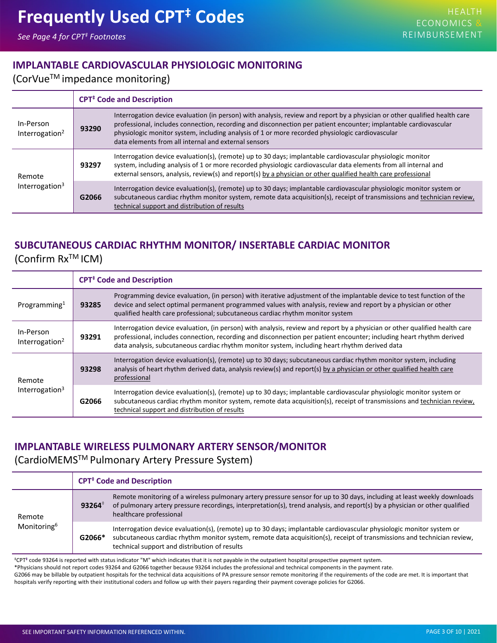## <span id="page-2-0"></span>**IMPLANTABLE CARDIOVASCULAR PHYSIOLOGIC MONITORING**

## (CorVueTM impedance monitoring)

|                                         | <b>CPT<sup>#</sup></b> Code and Description |                                                                                                                                                                                                                                                                                                                                                                                                           |  |  |  |
|-----------------------------------------|---------------------------------------------|-----------------------------------------------------------------------------------------------------------------------------------------------------------------------------------------------------------------------------------------------------------------------------------------------------------------------------------------------------------------------------------------------------------|--|--|--|
| In-Person<br>Interrogation <sup>2</sup> | 93290                                       | Interrogation device evaluation (in person) with analysis, review and report by a physician or other qualified health care<br>professional, includes connection, recording and disconnection per patient encounter; implantable cardiovascular<br>physiologic monitor system, including analysis of 1 or more recorded physiologic cardiovascular<br>data elements from all internal and external sensors |  |  |  |
| Remote<br>Interrogation <sup>3</sup>    | 93297                                       | Interrogation device evaluation(s), (remote) up to 30 days; implantable cardiovascular physiologic monitor<br>system, including analysis of 1 or more recorded physiologic cardiovascular data elements from all internal and<br>external sensors, analysis, review(s) and report(s) by a physician or other qualified health care professional                                                           |  |  |  |
|                                         | G2066                                       | Interrogation device evaluation(s), (remote) up to 30 days; implantable cardiovascular physiologic monitor system or<br>subcutaneous cardiac rhythm monitor system, remote data acquisition(s), receipt of transmissions and technician review,<br>technical support and distribution of results                                                                                                          |  |  |  |

## **SUBCUTANEOUS CARDIAC RHYTHM MONITOR/ INSERTABLE CARDIAC MONITOR** (Confirm RxTM ICM)

|                                         | <b>CPT<sup>#</sup></b> Code and Description |                                                                                                                                                                                                                                                                                                                                                       |  |  |  |
|-----------------------------------------|---------------------------------------------|-------------------------------------------------------------------------------------------------------------------------------------------------------------------------------------------------------------------------------------------------------------------------------------------------------------------------------------------------------|--|--|--|
| Programming <sup>1</sup>                | 93285                                       | Programming device evaluation, (in person) with iterative adjustment of the implantable device to test function of the<br>device and select optimal permanent programmed values with analysis, review and report by a physician or other<br>qualified health care professional; subcutaneous cardiac rhythm monitor system                            |  |  |  |
| In-Person<br>Interrogation <sup>2</sup> | 93291                                       | Interrogation device evaluation, (in person) with analysis, review and report by a physician or other qualified health care<br>professional, includes connection, recording and disconnection per patient encounter; including heart rhythm derived<br>data analysis, subcutaneous cardiac rhythm monitor system, including heart rhythm derived data |  |  |  |
| Remote<br>Interrogation $3$             | 93298                                       | Interrogation device evaluation(s), (remote) up to 30 days; subcutaneous cardiac rhythm monitor system, including<br>analysis of heart rhythm derived data, analysis review(s) and report(s) by a physician or other qualified health care<br>professional                                                                                            |  |  |  |
|                                         | G2066                                       | Interrogation device evaluation(s), (remote) up to 30 days; implantable cardiovascular physiologic monitor system or<br>subcutaneous cardiac rhythm monitor system, remote data acquisition(s), receipt of transmissions and technician review,<br>technical support and distribution of results                                                      |  |  |  |

## **IMPLANTABLE WIRELESS PULMONARY ARTERY SENSOR/MONITOR**

## (CardioMEMSTM Pulmonary Artery Pressure System)

|                                   | <b>CPT<sup>#</sup></b> Code and Description |                                                                                                                                                                                                                                                                                                  |  |  |
|-----------------------------------|---------------------------------------------|--------------------------------------------------------------------------------------------------------------------------------------------------------------------------------------------------------------------------------------------------------------------------------------------------|--|--|
| Remote<br>Monitoring <sup>6</sup> | $93264*$                                    | Remote monitoring of a wireless pulmonary artery pressure sensor for up to 30 days, including at least weekly downloads<br>of pulmonary artery pressure recordings, interpretation(s), trend analysis, and report(s) by a physician or other qualified<br>healthcare professional                |  |  |
|                                   | G2066*                                      | Interrogation device evaluation(s), (remote) up to 30 days; implantable cardiovascular physiologic monitor system or<br>subcutaneous cardiac rhythm monitor system, remote data acquisition(s), receipt of transmissions and technician review,<br>technical support and distribution of results |  |  |

‡CPT**‡** code 93264 is reported with status indicator "M" which indicates that it is not payable in the outpatient hospital prospective payment system.

\*Physicians should not report codes 93264 and G2066 together because 93264 includes the professional and technical components in the payment rate.

G2066 may be billable by outpatient hospitals for the technical data acquisitions of PA pressure sensor remote monitoring if the requirements of the code are met. It is important that hospitals verify reporting with their institutional coders and follow up with their payers regarding their payment coverage policies for G2066.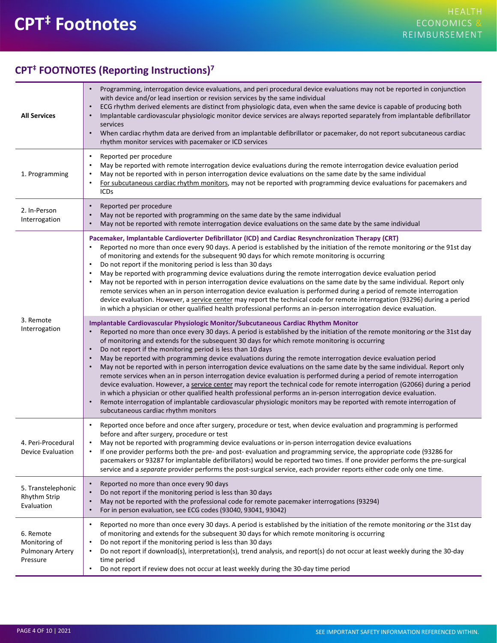## <span id="page-3-0"></span>**CPT‡ Footnotes**

## **CPT‡ FOOTNOTES (Reporting Instructions)7**

| <b>All Services</b>                                               | Programming, interrogation device evaluations, and peri procedural device evaluations may not be reported in conjunction<br>with device and/or lead insertion or revision services by the same individual<br>ECG rhythm derived elements are distinct from physiologic data, even when the same device is capable of producing both<br>$\bullet$<br>Implantable cardiovascular physiologic monitor device services are always reported separately from implantable defibrillator<br>services<br>When cardiac rhythm data are derived from an implantable defibrillator or pacemaker, do not report subcutaneous cardiac<br>rhythm monitor services with pacemaker or ICD services                                                                                                                                                                                                                                                                                                                                                                                                                                                                                                                       |
|-------------------------------------------------------------------|---------------------------------------------------------------------------------------------------------------------------------------------------------------------------------------------------------------------------------------------------------------------------------------------------------------------------------------------------------------------------------------------------------------------------------------------------------------------------------------------------------------------------------------------------------------------------------------------------------------------------------------------------------------------------------------------------------------------------------------------------------------------------------------------------------------------------------------------------------------------------------------------------------------------------------------------------------------------------------------------------------------------------------------------------------------------------------------------------------------------------------------------------------------------------------------------------------|
| 1. Programming                                                    | Reported per procedure<br>$\bullet$<br>May be reported with remote interrogation device evaluations during the remote interrogation device evaluation period<br>$\bullet$<br>May not be reported with in person interrogation device evaluations on the same date by the same individual<br>For subcutaneous cardiac rhythm monitors, may not be reported with programming device evaluations for pacemakers and<br>٠<br><b>ICDs</b>                                                                                                                                                                                                                                                                                                                                                                                                                                                                                                                                                                                                                                                                                                                                                                    |
| 2. In-Person<br>Interrogation                                     | Reported per procedure<br>$\bullet$<br>May not be reported with programming on the same date by the same individual<br>May not be reported with remote interrogation device evaluations on the same date by the same individual                                                                                                                                                                                                                                                                                                                                                                                                                                                                                                                                                                                                                                                                                                                                                                                                                                                                                                                                                                         |
| 3. Remote<br>Interrogation                                        | Pacemaker, Implantable Cardioverter Defibrillator (ICD) and Cardiac Resynchronization Therapy (CRT)<br>Reported no more than once every 90 days. A period is established by the initiation of the remote monitoring or the 91st day<br>of monitoring and extends for the subsequent 90 days for which remote monitoring is occurring<br>Do not report if the monitoring period is less than 30 days<br>$\bullet$<br>May be reported with programming device evaluations during the remote interrogation device evaluation period<br>May not be reported with in person interrogation device evaluations on the same date by the same individual. Report only<br>remote services when an in person interrogation device evaluation is performed during a period of remote interrogation<br>device evaluation. However, a service center may report the technical code for remote interrogation (93296) during a period<br>in which a physician or other qualified health professional performs an in-person interrogation device evaluation.                                                                                                                                                             |
|                                                                   | Implantable Cardiovascular Physiologic Monitor/Subcutaneous Cardiac Rhythm Monitor<br>Reported no more than once every 30 days. A period is established by the initiation of the remote monitoring or the 31st day<br>of monitoring and extends for the subsequent 30 days for which remote monitoring is occurring<br>Do not report if the monitoring period is less than 10 days<br>$\bullet$<br>May be reported with programming device evaluations during the remote interrogation device evaluation period<br>$\bullet$<br>May not be reported with in person interrogation device evaluations on the same date by the same individual. Report only<br>remote services when an in person interrogation device evaluation is performed during a period of remote interrogation<br>device evaluation. However, a service center may report the technical code for remote interrogation (G2066) during a period<br>in which a physician or other qualified health professional performs an in-person interrogation device evaluation.<br>Remote interrogation of implantable cardiovascular physiologic monitors may be reported with remote interrogation of<br>subcutaneous cardiac rhythm monitors |
| 4. Peri-Procedural<br>Device Evaluation                           | Reported once before and once after surgery, procedure or test, when device evaluation and programming is performed<br>before and after surgery, procedure or test<br>May not be reported with programming device evaluations or in-person interrogation device evaluations<br>$\bullet$<br>If one provider performs both the pre- and post- evaluation and programming service, the appropriate code (93286 for<br>pacemakers or 93287 for implantable defibrillators) would be reported two times. If one provider performs the pre-surgical<br>service and a separate provider performs the post-surgical service, each provider reports either code only one time.                                                                                                                                                                                                                                                                                                                                                                                                                                                                                                                                  |
| 5. Transtelephonic<br>Rhythm Strip<br>Evaluation                  | Reported no more than once every 90 days<br>$\bullet$<br>Do not report if the monitoring period is less than 30 days<br>May not be reported with the professional code for remote pacemaker interrogations (93294)<br>$\bullet$<br>For in person evaluation, see ECG codes (93040, 93041, 93042)<br>$\bullet$                                                                                                                                                                                                                                                                                                                                                                                                                                                                                                                                                                                                                                                                                                                                                                                                                                                                                           |
| 6. Remote<br>Monitoring of<br><b>Pulmonary Artery</b><br>Pressure | Reported no more than once every 30 days. A period is established by the initiation of the remote monitoring or the 31st day<br>$\bullet$<br>of monitoring and extends for the subsequent 30 days for which remote monitoring is occurring<br>Do not report if the monitoring period is less than 30 days<br>$\bullet$<br>Do not report if download(s), interpretation(s), trend analysis, and report(s) do not occur at least weekly during the 30-day<br>٠<br>time period<br>Do not report if review does not occur at least weekly during the 30-day time period<br>$\bullet$                                                                                                                                                                                                                                                                                                                                                                                                                                                                                                                                                                                                                        |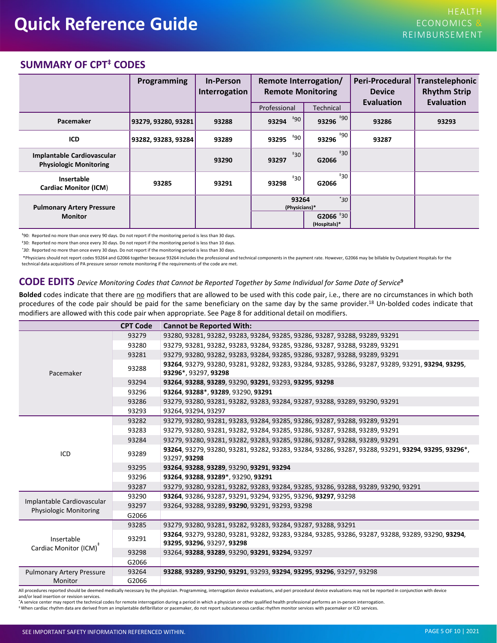## <span id="page-4-0"></span>**SUMMARY OF CPT‡ CODES**

|                                                                    | <b>Programming</b>  | <b>In-Person</b><br>Interrogation | Remote Interrogation/<br><b>Remote Monitoring</b> |                                       | Peri-Procedural<br><b>Device</b><br>Evaluation | Transtelephonic<br><b>Rhythm Strip</b><br>Evaluation |
|--------------------------------------------------------------------|---------------------|-----------------------------------|---------------------------------------------------|---------------------------------------|------------------------------------------------|------------------------------------------------------|
|                                                                    |                     |                                   | Professional                                      | <b>Technical</b>                      |                                                |                                                      |
| Pacemaker                                                          | 93279, 93280, 93281 | 93288                             | $^{\ddagger}90$<br>93294                          | 93296 $*90$                           | 93286                                          | 93293                                                |
| ICD                                                                | 93282, 93283, 93284 | 93289                             | <b>*90</b><br>93295                               | $+90$<br>93296                        | 93287                                          |                                                      |
| <b>Implantable Cardiovascular</b><br><b>Physiologic Monitoring</b> |                     | 93290                             | $*30$<br>93297                                    | $*30$<br>G2066                        |                                                |                                                      |
| Insertable<br><b>Cardiac Monitor (ICM)</b>                         | 93285               | 93291                             | $\pm$ 30<br>93298                                 | $*30$<br>G2066                        |                                                |                                                      |
| <b>Pulmonary Artery Pressure</b><br><b>Monitor</b>                 |                     |                                   | 93264<br>(Physicians)*                            | $30^{\circ}$<br>G2066 <sup>+</sup> 30 |                                                |                                                      |
|                                                                    |                     |                                   |                                                   | (Hospitals)*                          |                                                |                                                      |

‡90: Reported no more than once every 90 days. Do not report if the monitoring period is less than 30 days.

‡30: Reported no more than once every 30 days. Do not report if the monitoring period is less than 10 days.

*\*30*: Reported no more than once every 30 days. Do not report if the monitoring period is less than 30 days.

\*Physicians should not report codes 93264 and G2066 together because 93264 includes the professional and technical components in the payment rate. However, G2066 may be billable by Outpatient Hospitals for the technical data acquisitions of PA pressure sensor remote monitoring if the requirements of the code are met.

#### CODE EDITS Device Monitoring Codes that Cannot be Reported Together by Same Individual for Same Date of Service<sup>9</sup>

Bolded codes indicate that there are no modifiers that are allowed to be used with this code pair, i.e., there are no circumstances in which both procedures of the c[od](#page-9-0)e pair should be paid for the same beneficiary on the same day by the same provider.<sup>18</sup> Un-bolded codes indicate that modifiers are allowed with this code pair when appropriate. See Page 8 for additional detail on modifiers.

|                                                             | <b>CPT Code</b> | <b>Cannot be Reported With:</b>                                                                                           |  |  |  |  |  |
|-------------------------------------------------------------|-----------------|---------------------------------------------------------------------------------------------------------------------------|--|--|--|--|--|
|                                                             | 93279           | 93280, 93281, 93282, 93283, 93284, 93285, 93286, 93287, 93288, 93289, 93291                                               |  |  |  |  |  |
|                                                             | 93280           | 93279, 93281, 93282, 93283, 93284, 93285, 93286, 93287, 93288, 93289, 93291                                               |  |  |  |  |  |
|                                                             | 93281           | 93279, 93280, 93282, 93283, 93284, 93285, 93286, 93287, 93288, 93289, 93291                                               |  |  |  |  |  |
| Pacemaker                                                   | 93288           | 93264, 93279, 93280, 93281, 93282, 93283, 93284, 93285, 93286, 93287, 93289, 93291, 93294, 93295,<br>93296*, 93297, 93298 |  |  |  |  |  |
|                                                             | 93294           | 93264, 93288, 93289, 93290, 93291, 93293, 93295, 93298                                                                    |  |  |  |  |  |
|                                                             | 93296           | 93264, 93288*, 93289, 93290, 93291                                                                                        |  |  |  |  |  |
|                                                             | 93286           | 93279, 93280, 93281, 93282, 93283, 93284, 93287, 93288, 93289, 93290, 93291                                               |  |  |  |  |  |
|                                                             | 93293           | 93264.93294.93297                                                                                                         |  |  |  |  |  |
|                                                             | 93282           | 93279, 93280, 93281, 93283, 93284, 93285, 93286, 93287, 93288, 93289, 93291                                               |  |  |  |  |  |
|                                                             | 93283           | 93279, 93280, 93281, 93282, 93284, 93285, 93286, 93287, 93288, 93289, 93291                                               |  |  |  |  |  |
|                                                             | 93284           | 93279, 93280, 93281, 93282, 93283, 93285, 93286, 93287, 93288, 93289, 93291                                               |  |  |  |  |  |
| ICD                                                         | 93289           | 93264, 93279, 93280, 93281, 93282, 93283, 93284, 93286, 93287, 93288, 93291, 93294, 93295, 93296*,<br>93297, 93298        |  |  |  |  |  |
|                                                             | 93295           | 93264, 93288, 93289, 93290, 93291, 93294                                                                                  |  |  |  |  |  |
|                                                             | 93296           | 93264, 93288, 93289*, 93290, 93291                                                                                        |  |  |  |  |  |
|                                                             | 93287           | 93279, 93280, 93281, 93282, 93283, 93284, 93285, 93286, 93288, 93289, 93290, 93291                                        |  |  |  |  |  |
|                                                             | 93290           | 93264, 93286, 93287, 93291, 93294, 93295, 93296, 93297, 93298                                                             |  |  |  |  |  |
| Implantable Cardiovascular<br><b>Physiologic Monitoring</b> | 93297           | 93264, 93288, 93289, 93290, 93291, 93293, 93298                                                                           |  |  |  |  |  |
|                                                             | G2066           |                                                                                                                           |  |  |  |  |  |
|                                                             | 93285           | 93279, 93280, 93281, 93282, 93283, 93284, 93287, 93288, 93291                                                             |  |  |  |  |  |
| Insertable                                                  | 93291           | 93264, 93279, 93280, 93281, 93282, 93283, 93284, 93285, 93286, 93287, 93288, 93289, 93290, 93294,                         |  |  |  |  |  |
| Cardiac Monitor (ICM) <sup>+</sup>                          |                 | 93295, 93296, 93297, 93298                                                                                                |  |  |  |  |  |
|                                                             | 93298           | 93264, 93288, 93289, 93290, 93291, 93294, 93297                                                                           |  |  |  |  |  |
|                                                             | G2066           |                                                                                                                           |  |  |  |  |  |
| <b>Pulmonary Artery Pressure</b>                            | 93264           | 93288, 93289, 93290, 93291, 93293, 93294, 93295, 93296, 93297, 93298                                                      |  |  |  |  |  |
| Monitor                                                     | G2066           |                                                                                                                           |  |  |  |  |  |

All procedures reported should be deemed medically necessary by the physician. Programming, interrogation device evaluations, and peri procedural device evaluations may not be reported in conjunction with device and/or lead insertion or revision services.

\*A service center may report the technical codes for remote interrogation during a period in which a physician or other qualified health professional performs an in-person interrogation.

‡ When cardiac rhythm data are derived from an implantable defibrillator or pacemaker, do not report subcutaneous cardiac rhythm monitor services with pacemaker or ICD services.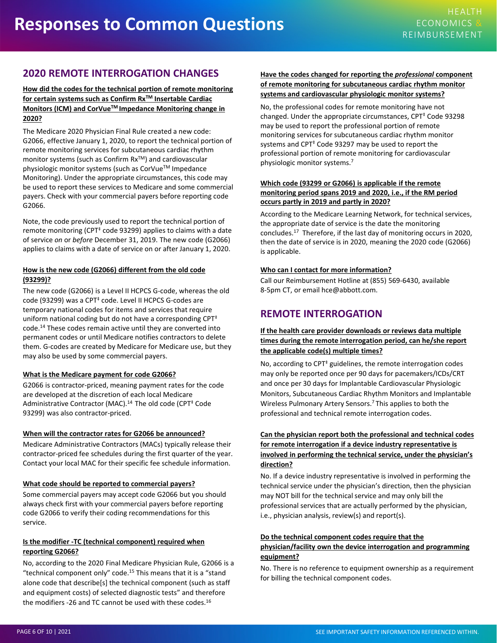## <span id="page-5-0"></span>**2020 REMOTE INTERROGATION CHANGES**

#### **How did the codes for the technical portion of remote monitoring for certain systems such as Confirm RxTM Insertable Cardiac Monitors (ICM) and CorVueTM Impedance Monitoring change in 2020?**

The Medicare 2020 Physician Final Rule created a new code: G2066, effective January 1, 2020, to report the technical portion of remote monitoring services for subcutaneous cardiac rhythm monitor systems (such as Confirm Rx™) and cardiovascular physiologic monitor systems (such as CorVue™ Impedance Monitoring). Under the appropriate circumstances, this code may be used to report these services to Medicare and some commercial payers. Check with your commercial payers before reporting code G2066.

Note, the code previously used to report the technical portion of remote monitoring (CPT $<sup>†</sup>$  code 93299) applies to claims with a date</sup> of service *on* or *before* December 31, 2019. The new code (G2066) applies to claims with a date of service on or after January 1, 2020.

#### **How is the new code (G2066) different from the old code (93299)?**

The new code (G2066) is a Level II HCPCS G-code, whereas the old code (93299) was a CPT<sup>‡</sup> code. Level II HCPCS G-codes are temporary national codes for items and services that require uniform national coding but do not have a corresponding  $CPT^{\ddagger}$ code.14 These codes remain active until they are converted into permanent codes or until Medicare notifies contractors to delete them. G-codes are created by Medicare for Medicare use, but they may also be used by some commercial payers.

#### **What is the Medicare payment for code G2066?**

G2066 is contractor-priced, meaning payment rates for the code are developed at the discretion of each local Medicare Administrative Contractor (MAC).<sup>14</sup> The old code (CPT<sup>‡</sup> Code 93299) was also contractor-priced.

#### **When will the contractor rates for G2066 be announced?**

Medicare Administrative Contractors (MACs) typically release their contractor-priced fee schedules during the first quarter of the year. Contact your local MAC for their specific fee schedule information.

#### **What code should be reported to commercial payers?**

Some commercial payers may accept code G2066 but you should always check first with your commercial payers before reporting code G2066 to verify their coding recommendations for this service.

#### **Is the modifier -TC (technical component) required when reporting G2066?**

No, according to the 2020 Final Medicare Physician Rule, G2066 is a "technical component only" code.<sup>15</sup> This means that it is a "stand alone code that describe[s] the technical component (such as staff and equipment costs) of selected diagnostic tests" and therefore the modifiers -26 and TC cannot be used with these codes.<sup>16</sup>

#### **Have the codes changed for reporting the** *professional* **component of remote monitoring for subcutaneous cardiac rhythm monitor systems and cardiovascular physiologic monitor systems?**

No, the professional codes for remote monitoring have not changed. Under the appropriate circumstances,  $CPT<sup>‡</sup>$  Code 93298 may be used to report the professional portion of remote monitoring services for subcutaneous cardiac rhythm monitor systems and CPT<sup>‡</sup> Code 93297 may be used to report the professional portion of remote monitoring for cardiovascular physiologic monitor systems.[7](#page-9-0)

#### **Which code (93299 or G2066) is applicable if the remote monitoring period spans 2019 and 2020, i.e., if the RM period occurs partly in 2019 and partly in 2020?**

According to the Medicare Learning Network, for technical services[,](#page-9-0)  the appropriate date of service is the date the monitoring concludes.17 Therefore, if the last day of monitoring occurs in 2020, then the date of service is in 2020, meaning the 2020 code (G2066) is applicable.

#### **Who can I contact for more information?**

Call our Reimbursement Hotline at (855) 569-6430, available 8-5pm CT, or email hce@abbott.com.

## **REMOTE INTERROGATION**

#### **If the health care provider downloads or reviews data multiple times during the remote interrogation period, can he/she report the applicable code(s) multiple times?**

No, according to  $CPT^{\ddagger}$  guidelines, the remote interrogation codes may only be reported once per 90 days for pacemakers/ICDs/CRT and once per 30 days for Implantable Cardiovascular Physiologic Monitors, Subcutaneous [Ca](#page-9-0)rdiac Rhythm Monitors and Implantable Wireless Pulmonary Artery Sensors.7 This applies to both the professional and technical remote interrogation codes.

#### **Can the physician report both the professional and technical codes for remote interrogation if a device industry representative is involved in performing the technical service, under the physician's direction?**

No. If a device industry representative is involved in performing the technical service under the physician's direction, then the physician may NOT bill for the technical service and may only bill the professional services that are actually performed by the physician, i.e., physician analysis, review(s) and report(s).

#### **Do the technical component codes require that the**

#### **physician/facility own the device interrogation and programming equipment?**

No. There is no reference to equipment ownership as a requirement for billing the technical component codes.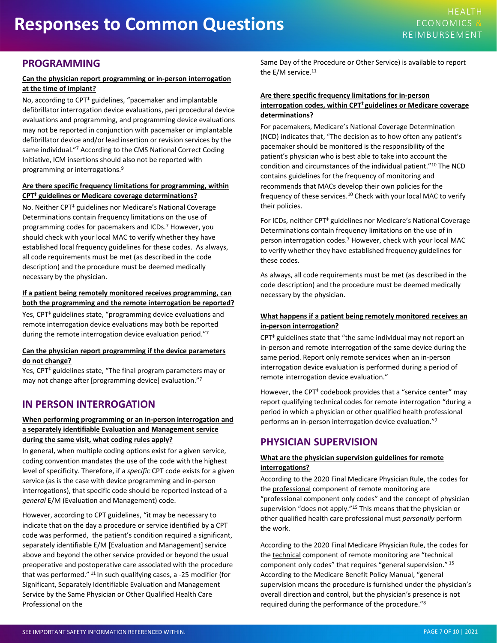## <span id="page-6-0"></span>**PROGRAMMING**

#### **Can the physician report programming or in-person interrogation at the time of implant?**

No, according to CPT<sup>‡</sup> guidelines, "pacemaker and implantable defibrillator interrogation device evaluations, peri procedural device evaluations and programming, and programming device evaluations may not be reported in conjunction with pacemaker or implantable defibrillator device and/or lead insertion or revision services by the same individual."7 According to [th](#page-9-0)e CMS National Correct Coding Initiative, ICM insertions should also not be reported with programming or interrogations.9

#### **Are there specific frequency limitations for programming, within CPT‡ guidelines or Medicare coverage determinations?**

No. Neither CPT<sup>‡</sup> guidelines nor Medicare's National Coverage Determinations contain frequency limitations on the use of programming codes for pacemakers and ICDs.7 However, you should check with your local MAC to verify wh[eth](#page-9-0)er they have established local frequency guidelines for these codes. As always, all code requirements must be met (as described in the code description) and the procedure must be deemed medically necessary by the physician.

#### **If a patient being remotely monitored receives programming, can both the programming and the remote interrogation be reported?**

Yes,  $CPT^{\ddagger}$  guidelines state, "programming device evaluations and remote interrogation device evaluations may both be reported during the remote interrogation device evaluation period."7

#### **Can the physician report programming if the device parameters do not change?**

Yes, CPT<sup>‡</sup> guidelines state, "The final program parameters may or may not change after [programming device] evaluation."7

## **IN PERSON INTERROGATION**

#### **When performing programming or an in-person interrogation and a separately identifiable Evaluation and Management service during the same visit, what coding rules apply?**

In general, when multiple coding options exist for a given service, coding convention mandates the use of the code with the highest level of specificity. Therefore, if a *specific* CPT code exists for a given service (as is the case with device programming and in-person interrogations), that specific code should be reported instead of a *general* E/M (Evaluation and Management) code.

However, according to CPT guidelines, "it may be necessary to indicate that on the day a procedure or service identified by a CPT code was performed, the patient's condition required a significant, separately identifiable E/M [Evaluation and Management] service above and beyond th[e o](#page-9-0)ther service provided or beyond the usual preoperative and postoperative care associated with the procedure that was performed." <sup>11</sup> In such qualifying cases, a -25 modifier (for Significant, Separately Identifiable Evaluation and Management Service by the Same Physician or Other Qualified Health Care Professional on the

Same Day of the Procedure or Other Service) is available to report the E/M service.<sup>11</sup>

#### **Are there specific frequency limitations for in-person interrogation codes, within CPT‡ guidelines or Medicare coverage determinations?**

For pacemakers, Medicare's National Coverage Determination (NCD) indicates that, "The decision as to how often any patient's pacemaker should be monitored is the responsibility of the patient's physician who is best able to take into account the condition and circumstances of the individual patient."10 The NCD contains guidelines for the fr[eq](#page-9-0)uency of monitoring and recommends that MACs develop their own policies for the frequency of these services.10 Check with your local MAC to verify their policies.

For ICDs, neither CPT<sup>‡</sup> guidelines nor Medicare's National Coverage Determinations contain fre[que](#page-9-0)ncy limitations on the use of in person interrogation codes.<sup>7</sup> However, check with your local MAC to verify whether they have established frequency guidelines for these codes.

As always, all code requirements must be met (as described in the code description) and the procedure must be deemed medically necessary by the physician.

#### **What happens if a patient being remotely monitored receives an in-person interrogation?**

 $CPT^{\ddagger}$  guidelines state that "the same individual may not report an in-person and remote interrogation of the same device during the same period. Report only remote services when an in-person interrogation device evaluation is performed during a period of remote interrogation device evaluation."

However, the CPT<sup>‡</sup> codebook provides that a "service center" may report qualifying technical codes for remote interrogation "during a period in which a physician or other qualified health prof[ess](#page-9-0)ional performs an in-person interrogation device evaluation."7

## **PHYSICIAN SUPERVISION**

#### **What are the physician supervision guidelines for remote interrogations?**

According to the 2020 Final Medicare Physician Rule, the codes for the professional component of remote monitoring are "professional component only codes" and the concept of physician supervision "does not apply."<sup>[15](#page-9-0)</sup> This means that the physician or other qualified health care professional must *personally* perform the work.

According to the 2020 Final Medicare Physician Rule, the codes for the technical component of remote monitoring are "technical component only codes" that requires "general supervision." <sup>15</sup> According to the Medicare Benefit Policy Manual, "general supervision means the procedure is furnished under the physician's overall direction and control, but the physician's presence is not required during the performance of the procedure."8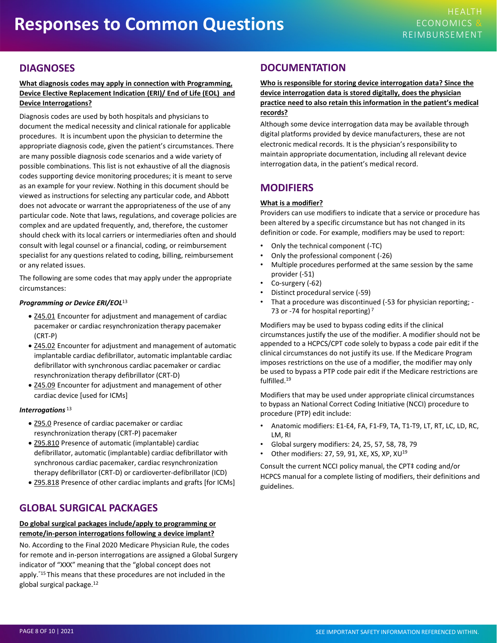## <span id="page-7-0"></span>**DIAGNOSES**

#### **What diagnosis codes may apply in connection with Programming, Device Elective Replacement Indication (ERI)/ End of Life (EOL) and Device Interrogations?**

Diagnosis codes are used by both hospitals and physicians to document the medical necessity and clinical rationale for applicable procedures. It is incumbent upon the physician to determine the appropriate diagnosis code, give[n t](#page-9-0)he patient's circumstances. There are many possible diagnosis code scenarios and a wide variety of possible combinations. This list is not exhaustiv[e o](#page-9-0)f all the diagnosis codes supporting device monitoring procedures; it is meant to serve as an example for your review. Nothing in this document should be viewed as instructions for selecting any particular code, and Abbott does not advocate or warrant the appropriateness of the use of any particular code. Note that laws, regulations, and coverage policies are complex and are updated frequently, and, therefore, the customer should check with its local carriers or intermedi[ar](#page-9-0)ies often and should consult with legal counsel or a financial, coding, or reimbursement specialist for any questions related to coding, billing, reimbursement or any related issues.

The following are some codes that may apply under the appropriate circumstances:

#### *Programming or Device ERI/EOL*<sup>13</sup>

- Z45.01 Encounter for adjustment and management of cardiac pacemaker or cardiac resynchronization therapy pacemaker (CRT-P)
- Z45.02 Encounter for adjustment and management of automatic implantable cardiac defibrillator, automatic implantable [car](#page-9-0)diac defibrillator with synchronous cardiac pacemaker or cardiac resynchronization therapy defibrillator (CRT-D)
- Z45.09 Encounter for adjustment and management of other cardiac device [used for ICMs]

#### *Interrogations* <sup>13</sup>

- Z95.0 Presence of cardiac pacemaker or cardiac resynchronization therapy (CRT-P) pacemaker
- Z95.810 Presence of automatic (implantable) cardiac defibrillator, automatic (implantable) cardiac defibrillator with synchronous cardiac pacemaker, cardiac resynchronization therapy defibrillator (CRT-D) or cardioverter-defibrillator (ICD)
- Z95.818 Presence of other cardiac implants and grafts [for ICMs]

## **GLOBAL SURGICAL PACKAGES**

#### **Do global surgical packages include/apply to programming or remote/in-person interrogations following a device implant?**

No. According to the Final 2020 Medicare Physician Rule, the codes for remote and in-per[so](#page-9-0)n interrogations are assigned a Global Surgery indicator of "XXX" meaning that the "global concept does not apply.<sup>"15</sup> This means that these procedures are not included in the global surgical package.12

### **DOCUMENTATION**

**Who is responsible for storing device interrogation data? Since the device interrogation data is stored digitally, does the physician practice need to also retain this information in the patient's medical records?**

Although some device interrogation data may be available through digital platforms provided by device manufacturers, these are not electronic medical records. It is the physician's responsibility to maintain appropriate documentation, including all relevant device interrogation data, in the patient's medical record.

## **MODIFIERS**

#### **What is a modifier?**

Providers can use modifiers to indicate that a service or procedure has been altered by a specific ci[rcu](#page-9-0)mstance but has not changed in its definition or code. For example, modifiers may be used to report:

- Only the technical component (-TC)
- Only the professional component (-26)
- Multiple procedures performed at the same session by the same provider (-51)
- Co-surgery (-62)
- Distinct procedural service (-59)
- That a procedure was discontinued (-53 for physician reporting; 73 or -74 for hospital reporting) $<sup>7</sup>$ </sup>

Modifiers may be used to bypass coding edits if the clinical circumstances justify the use of the modifier. A modifier should not be appended to a HCPCS/CPT code solely to bypass a code pair edit if the clinical circumstances do not justify its use. If the Medicare Program imposes restrictions on the use of a modifier, the modifier may only be used to bypass a PTP code pair edit if the Medicare restrictions are fulfilled.19

Modifiers that may be used under appropriate clinical circumstances to bypass an National Correct Coding Initiative (NCCI) procedure to procedure (PTP) edit include:

- Anatomic modifiers: E1-E4, FA, F1-F9, TA, T1-T9, LT, RT, LC, LD, RC, LM, RI
- Global surgery modifiers: 24, 25, 57, 58, 78, 79
- Other modifiers: 27, 59, 91, XE, XS, XP, XU<sup>19</sup>

Consult the current NCCI policy manual, the CPT‡ coding and/or HCPCS manual for a complete listing of modifiers, their definitions and guidelines.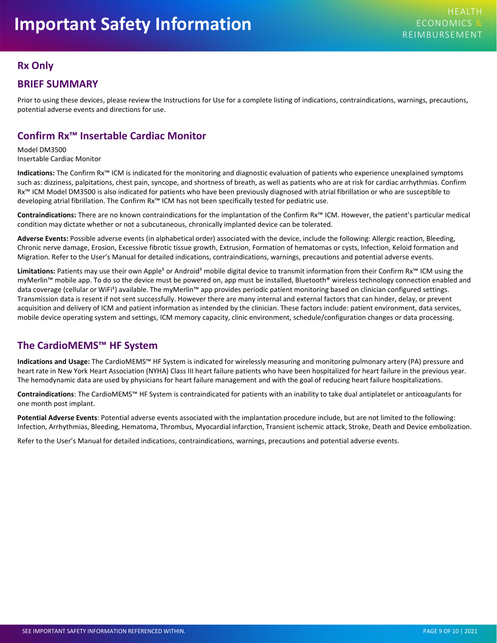## <span id="page-8-0"></span>**Rx Only**

## **BRIEF SUMMARY**

Prior to using these devices, please review the Instructions for Use for a complete listing of indications, contraindications, warnings, precautions, potential adverse events and directions for use.

## **Confirm Rx™ Insertable Cardiac Monitor**

Model DM3500 Insertable Cardiac Monitor

**Indications:** The Confirm Rx™ ICM is indicated for the monitoring and diagnostic evaluation of patients who experience unexplained symptoms such as: dizziness, palpitations, chest pain, syncope, and shortness of breath, as well as patients who are at risk for cardiac arrhythmias. Confirm Rx™ ICM Model DM3500 is also indicated for patients who have been previously diagnosed with atrial fibrillation or who are susceptible to developing atrial fibrillation. The Confirm Rx™ ICM has not been specifically tested for pediatric use.

**Contraindications:** There are no known contraindications for the implantation of the Confirm Rx™ ICM. However, the patient's particular medical condition may dictate whether or not a subcutaneous, chronically implanted device can be tolerated.

**Adverse Events:** Possible adverse events (in alphabetical order) associated with the device, include the following: Allergic reaction, Bleeding, Chronic nerve damage, Erosion, Excessive fibrotic tissue growth, Extrusion, Formation of hematomas or cysts, Infection, Keloid formation and Migration. Refer to the User's Manual for detailed indications, contraindications, warnings, precautions and potential adverse events.

**Limitations:** Patients may use their own Apple‡ or Android‡ mobile digital device to transmit information from their Confirm Rx™ ICM using the myMerlin™ mobile app. To do so the device must be powered on, app must be installed, Bluetooth® wireless technology connection enabled and data coverage (cellular or WiFi‡) available. The myMerlin™ app provides periodic patient monitoring based on clinician configured settings. Transmission data is resent if not sent successfully. However there are many internal and external factors that can hinder, delay, or prevent acquisition and delivery of ICM and patient information as intended by the clinician. These factors include: patient environment, data services, mobile device operating system and settings, ICM memory capacity, clinic environment, schedule/configuration changes or data processing.

## **The CardioMEMS™ HF System**

**Indications and Usage:** The CardioMEMS™ HF System is indicated for wirelessly measuring and monitoring pulmonary artery (PA) pressure and heart rate in New York Heart Association (NYHA) Class III heart failure patients who have been hospitalized for heart failure in the previous year. The hemodynamic data are used by physicians for heart failure management and with the goal of reducing heart failure hospitalizations.

**Contraindications**: The CardioMEMS™ HF System is contraindicated for patients with an inability to take dual antiplatelet or anticoagulants for one month post implant.

**Potential Adverse Events**: Potential adverse events associated with the implantation procedure include, but are not limited to the following: Infection, Arrhythmias, Bleeding, Hematoma, Thrombus, Myocardial infarction, Transient ischemic attack, Stroke, Death and Device embolization.

Refer to the User's Manual for detailed indications, contraindications, warnings, precautions and potential adverse events.